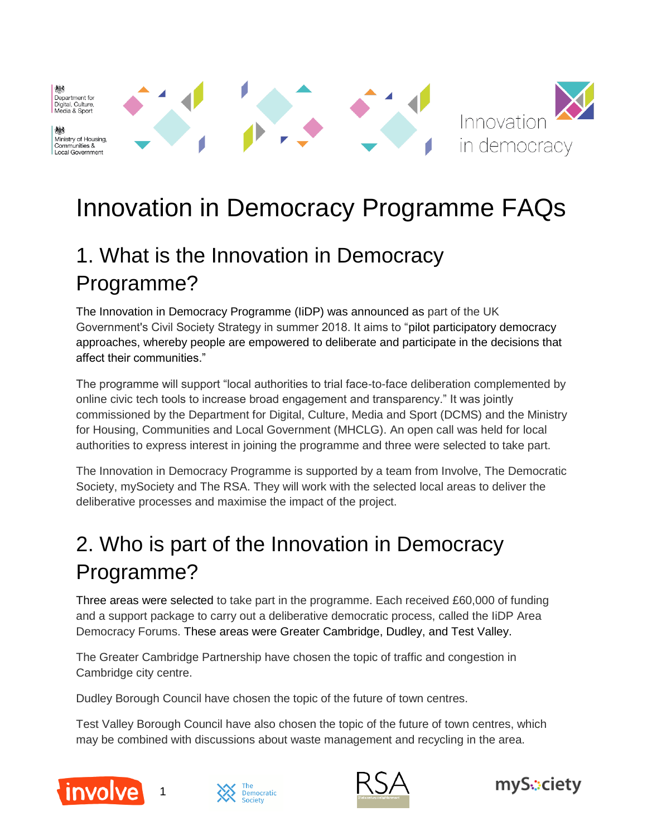機 Department for<br>Digital, Culture, Media & Sport

Ministry of Housing, Communities & Local Government



# Innovation in Democracy Programme FAQs

# 1. What is the Innovation in Democracy Programme?

The Innovation in Democracy Programme (IiDP) was announced as part of the UK Government's Civil Society Strategy in summer 2018. It aims to "pilot participatory democracy approaches, whereby people are empowered to deliberate and participate in the decisions that affect their communities."

The programme will support "local authorities to trial face-to-face deliberation complemented by online civic tech tools to increase broad engagement and transparency." It was jointly commissioned by the Department for Digital, Culture, Media and Sport (DCMS) and the Ministry for Housing, Communities and Local Government (MHCLG). An open call was held for local authorities to express interest in joining the programme and three were selected to take part.

The Innovation in Democracy Programme is supported by a team from Involve, The Democratic Society, mySociety and The RSA. They will work with the selected local areas to deliver the deliberative processes and maximise the impact of the project.

# 2. Who is part of the Innovation in Democracy Programme?

Three areas were selected to take part in the programme. Each received £60,000 of funding and a support package to carry out a deliberative democratic process, called the IiDP Area Democracy Forums. These areas were Greater Cambridge, Dudley, and Test Valley.

The Greater Cambridge Partnership have chosen the topic of traffic and congestion in Cambridge city centre.

Dudley Borough Council have chosen the topic of the future of town centres.

Test Valley Borough Council have also chosen the topic of the future of town centres, which may be combined with discussions about waste management and recycling in the area.



1





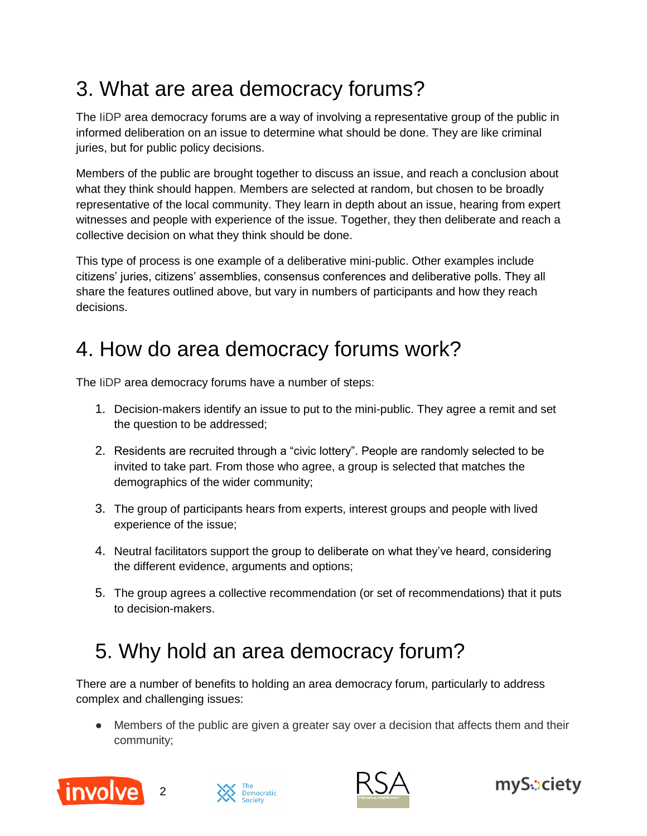### 3. What are area democracy forums?

The IiDP area democracy forums are a way of involving a representative group of the public in informed deliberation on an issue to determine what should be done. They are like criminal juries, but for public policy decisions.

Members of the public are brought together to discuss an issue, and reach a conclusion about what they think should happen. Members are selected at random, but chosen to be broadly representative of the local community. They learn in depth about an issue, hearing from expert witnesses and people with experience of the issue. Together, they then deliberate and reach a collective decision on what they think should be done.

This type of process is one example of a deliberative mini-public. Other examples include citizens' juries, citizens' assemblies, consensus conferences and deliberative polls. They all share the features outlined above, but vary in numbers of participants and how they reach decisions.

#### 4. How do area democracy forums work?

The IiDP area democracy forums have a number of steps:

- 1. Decision-makers identify an issue to put to the mini-public. They agree a remit and set the question to be addressed;
- 2. Residents are recruited through a "civic lottery". People are randomly selected to be invited to take part. From those who agree, a group is selected that matches the demographics of the wider community;
- 3. The group of participants hears from experts, interest groups and people with lived experience of the issue;
- 4. Neutral facilitators support the group to deliberate on what they've heard, considering the different evidence, arguments and options;
- 5. The group agrees a collective recommendation (or set of recommendations) that it puts to decision-makers.

### 5. Why hold an area democracy forum?

There are a number of benefits to holding an area democracy forum, particularly to address complex and challenging issues:

● Members of the public are given a greater say over a decision that affects them and their community;







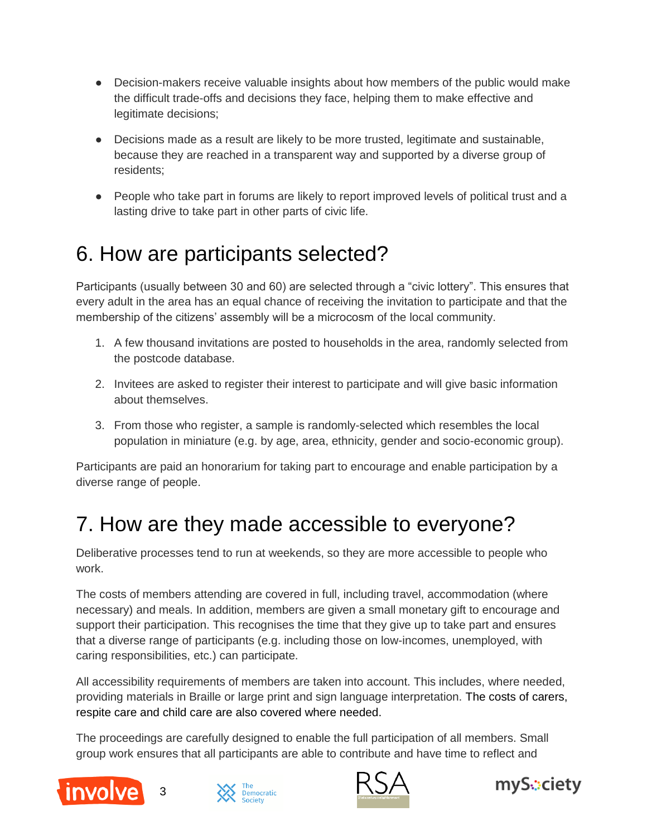- Decision-makers receive valuable insights about how members of the public would make the difficult trade-offs and decisions they face, helping them to make effective and legitimate decisions;
- Decisions made as a result are likely to be more trusted, legitimate and sustainable, because they are reached in a transparent way and supported by a diverse group of residents;
- People who take part in forums are likely to report improved levels of political trust and a lasting drive to take part in other parts of civic life.

#### 6. How are participants selected?

Participants (usually between 30 and 60) are selected through a "civic lottery". This ensures that every adult in the area has an equal chance of receiving the invitation to participate and that the membership of the citizens' assembly will be a microcosm of the local community.

- 1. A few thousand invitations are posted to households in the area, randomly selected from the postcode database.
- 2. Invitees are asked to register their interest to participate and will give basic information about themselves.
- 3. From those who register, a sample is randomly-selected which resembles the local population in miniature (e.g. by age, area, ethnicity, gender and socio-economic group).

Participants are paid an honorarium for taking part to encourage and enable participation by a diverse range of people.

#### 7. How are they made accessible to everyone?

Deliberative processes tend to run at weekends, so they are more accessible to people who work.

The costs of members attending are covered in full, including travel, accommodation (where necessary) and meals. In addition, members are given a small monetary gift to encourage and support their participation. This recognises the time that they give up to take part and ensures that a diverse range of participants (e.g. including those on low-incomes, unemployed, with caring responsibilities, etc.) can participate.

All accessibility requirements of members are taken into account. This includes, where needed, providing materials in Braille or large print and sign language interpretation. The costs of carers, respite care and child care are also covered where needed.

The proceedings are carefully designed to enable the full participation of all members. Small group work ensures that all participants are able to contribute and have time to reflect and







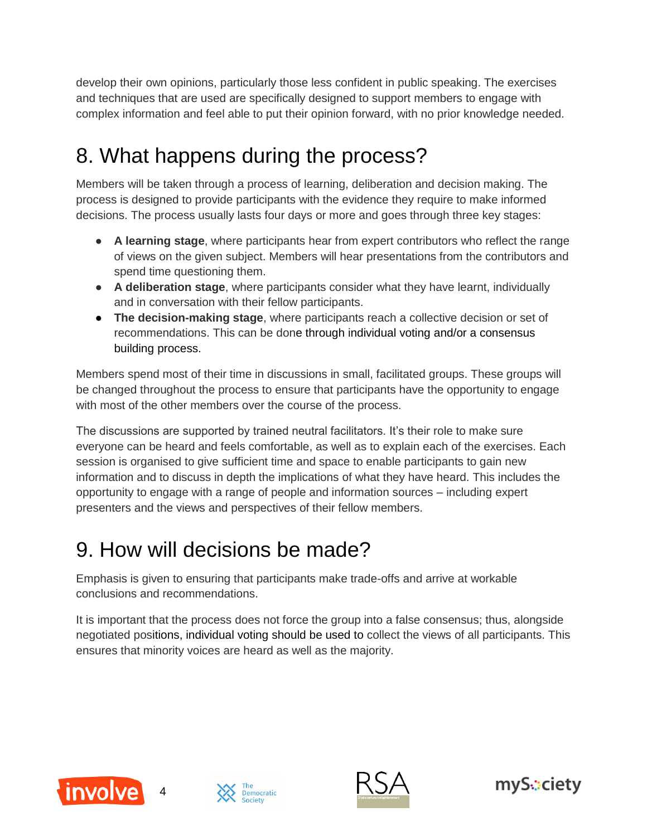develop their own opinions, particularly those less confident in public speaking. The exercises and techniques that are used are specifically designed to support members to engage with complex information and feel able to put their opinion forward, with no prior knowledge needed.

# 8. What happens during the process?

Members will be taken through a process of learning, deliberation and decision making. The process is designed to provide participants with the evidence they require to make informed decisions. The process usually lasts four days or more and goes through three key stages:

- **A learning stage**, where participants hear from expert contributors who reflect the range of views on the given subject. Members will hear presentations from the contributors and spend time questioning them.
- **A deliberation stage**, where participants consider what they have learnt, individually and in conversation with their fellow participants.
- **The decision-making stage**, where participants reach a collective decision or set of recommendations. This can be done through individual voting and/or a consensus building process.

Members spend most of their time in discussions in small, facilitated groups. These groups will be changed throughout the process to ensure that participants have the opportunity to engage with most of the other members over the course of the process.

The discussions are supported by trained neutral facilitators. It's their role to make sure everyone can be heard and feels comfortable, as well as to explain each of the exercises. Each session is organised to give sufficient time and space to enable participants to gain new information and to discuss in depth the implications of what they have heard. This includes the opportunity to engage with a range of people and information sources – including expert presenters and the views and perspectives of their fellow members.

#### 9. How will decisions be made?

Emphasis is given to ensuring that participants make trade-offs and arrive at workable conclusions and recommendations.

It is important that the process does not force the group into a false consensus; thus, alongside negotiated positions, individual voting should be used to collect the views of all participants. This ensures that minority voices are heard as well as the majority.







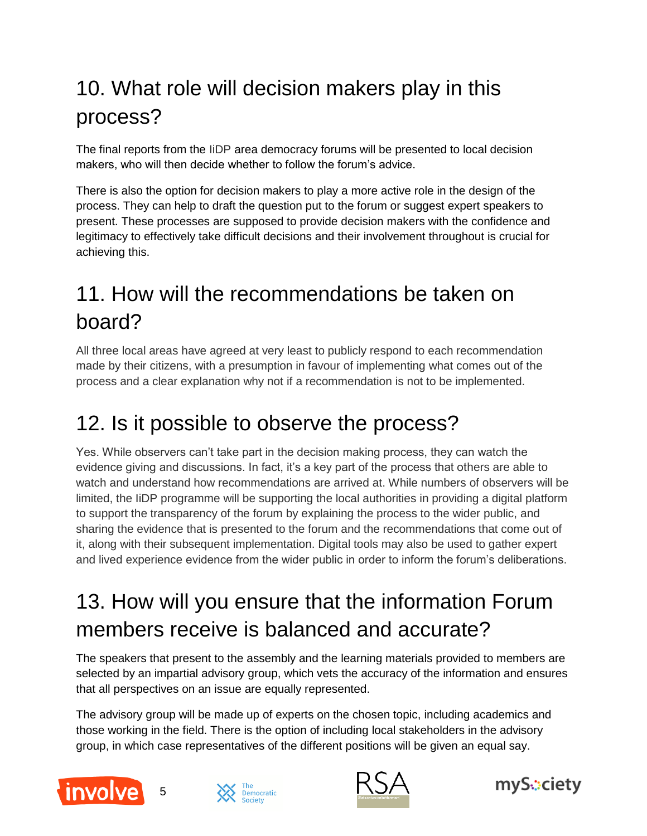# 10. What role will decision makers play in this process?

The final reports from the IiDP area democracy forums will be presented to local decision makers, who will then decide whether to follow the forum's advice.

There is also the option for decision makers to play a more active role in the design of the process. They can help to draft the question put to the forum or suggest expert speakers to present. These processes are supposed to provide decision makers with the confidence and legitimacy to effectively take difficult decisions and their involvement throughout is crucial for achieving this.

### 11. How will the recommendations be taken on board?

All three local areas have agreed at very least to publicly respond to each recommendation made by their citizens, with a presumption in favour of implementing what comes out of the process and a clear explanation why not if a recommendation is not to be implemented.

### 12. Is it possible to observe the process?

Yes. While observers can't take part in the decision making process, they can watch the evidence giving and discussions. In fact, it's a key part of the process that others are able to watch and understand how recommendations are arrived at. While numbers of observers will be limited, the IiDP programme will be supporting the local authorities in providing a digital platform to support the transparency of the forum by explaining the process to the wider public, and sharing the evidence that is presented to the forum and the recommendations that come out of it, along with their subsequent implementation. Digital tools may also be used to gather expert and lived experience evidence from the wider public in order to inform the forum's deliberations.

# 13. How will you ensure that the information Forum members receive is balanced and accurate?

The speakers that present to the assembly and the learning materials provided to members are selected by an impartial advisory group, which vets the accuracy of the information and ensures that all perspectives on an issue are equally represented.

The advisory group will be made up of experts on the chosen topic, including academics and those working in the field. There is the option of including local stakeholders in the advisory group, in which case representatives of the different positions will be given an equal say.



5